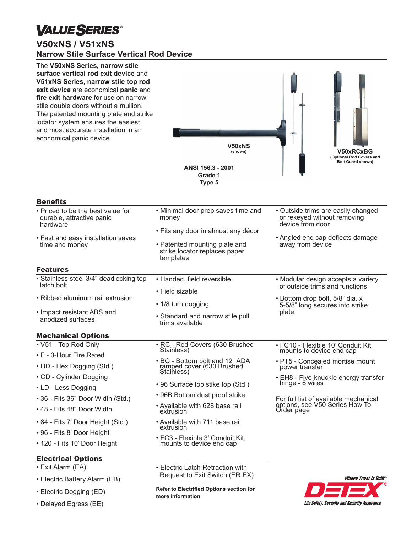# **VALUESERIES®**

## **V50xNS / V51xNS Narrow Stile Surface Vertical Rod Device**

| The V50xNS Series, narrow stile<br>surface vertical rod exit device and<br>V51xNS Series, narrow stile top rod<br>exit device are economical panic and<br>fire exit hardware for use on narrow<br>stile double doors without a mullion.<br>The patented mounting plate and strike<br>locator system ensures the easiest<br>and most accurate installation in an<br>economical panic device. | <b>V50xNS</b><br>(shown)<br>ANSI 156.3 - 2001<br>Grade 1<br>Type 5                                                                                                | <b>V50xRCxBG</b><br>(Optional Rod Covers and<br><b>Bolt Guard shown)</b>                                                                      |
|---------------------------------------------------------------------------------------------------------------------------------------------------------------------------------------------------------------------------------------------------------------------------------------------------------------------------------------------------------------------------------------------|-------------------------------------------------------------------------------------------------------------------------------------------------------------------|-----------------------------------------------------------------------------------------------------------------------------------------------|
| <b>Benefits</b>                                                                                                                                                                                                                                                                                                                                                                             |                                                                                                                                                                   |                                                                                                                                               |
| • Priced to be the best value for<br>durable, attractive panic<br>hardware<br>• Fast and easy installation saves<br>time and money                                                                                                                                                                                                                                                          | • Minimal door prep saves time and<br>money<br>• Fits any door in almost any décor<br>• Patented mounting plate and<br>strike locator replaces paper<br>templates | • Outside trims are easily changed<br>or rekeyed without removing<br>device from door<br>• Angled end cap deflects damage<br>away from device |
| <b>Features</b><br>· Stainless steel 3/4" deadlocking top                                                                                                                                                                                                                                                                                                                                   |                                                                                                                                                                   |                                                                                                                                               |
| latch bolt                                                                                                                                                                                                                                                                                                                                                                                  | • Handed, field reversible                                                                                                                                        | • Modular design accepts a variety<br>of outside trims and functions                                                                          |
| • Ribbed aluminum rail extrusion<br>• Impact resistant ABS and<br>anodized surfaces                                                                                                                                                                                                                                                                                                         | • Field sizable<br>• 1/8 turn dogging<br>• Standard and narrow stile pull<br>trims available                                                                      | • Bottom drop bolt, 5/8" dia. x<br>5-5/8" long secures into strike<br>plate                                                                   |
| <b>Mechanical Options</b>                                                                                                                                                                                                                                                                                                                                                                   |                                                                                                                                                                   |                                                                                                                                               |
| • V51 - Top Rod Only<br>• F - 3-Hour Fire Rated<br>• HD - Hex Dogging (Std.)<br>• CD - Cylinder Dogging<br>• LD - Less Dogging                                                                                                                                                                                                                                                              | · RC - Rod Covers (630 Brushed<br>Stainless)<br>• BG - Bottom bolt and 12" ADA                                                                                    | • FC10 - Flexible 10' Conduit Kit,<br>mounts to device end cap<br>• PT5 - Concealed mortise mount                                             |
|                                                                                                                                                                                                                                                                                                                                                                                             | ramped cover (630 Brushed<br>Stainless)<br>• 96 Surface top stike top (Std.)                                                                                      | power transfer<br>• EH8 - Five-knuckle energy transfer<br>hinge - 8 wires                                                                     |
| • 36 - Fits 36" Door Width (Std.)<br>• 48 - Fits 48" Door Width                                                                                                                                                                                                                                                                                                                             | • 96B Bottom dust proof strike<br>• Available with 628 base rail<br>extrusion                                                                                     | For full list of available mechanical<br>options, see V50 Series How To<br>Order page                                                         |
| • 84 - Fits 7' Door Height (Std.)<br>• 96 - Fits 8' Door Height<br>• 120 - Fits 10' Door Height                                                                                                                                                                                                                                                                                             | • Available with 711 base rail<br>extrusion<br>• FC3 - Flexible 3' Conduit Kit,<br>mounts to device end cap                                                       |                                                                                                                                               |
| <b>Electrical Options</b><br>• Exit Alarm (EA)<br>• Electric Battery Alarm (EB)                                                                                                                                                                                                                                                                                                             | • Electric Latch Retraction with<br>Request to Exit Switch (ER EX)                                                                                                | <i><b>Where Trust is Built</b></i>                                                                                                            |
| • Electric Dogging (ED)                                                                                                                                                                                                                                                                                                                                                                     | <b>Refer to Electrified Options section for</b><br>more information                                                                                               | DEEX                                                                                                                                          |

**Life Safety, Security and Security Assurance** 

• Delayed Egress (EE)